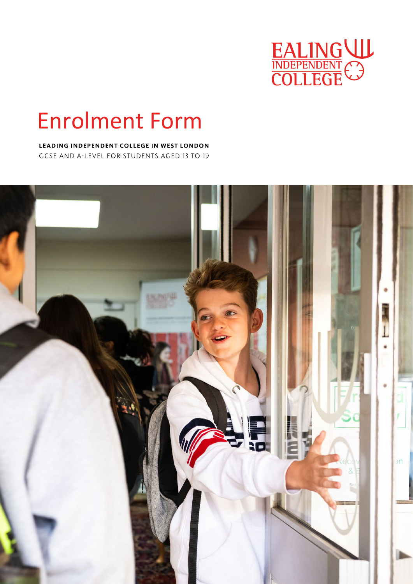

# Enrolment Form

### LEADING INDEPENDENT COLLEGE IN WEST LONDON

GCSE AND A-LEVEL FOR STUDENTS AGED 13 TO 19

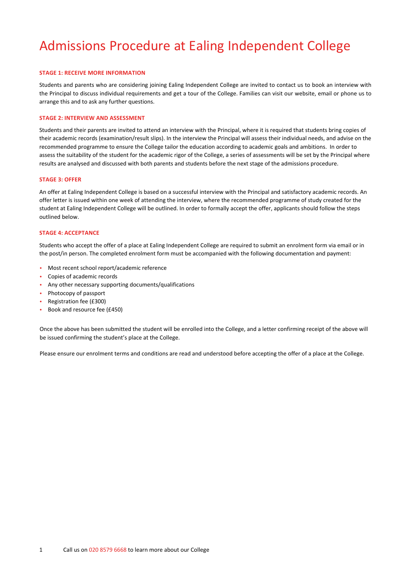# Admissions Procedure at Ealing Independent College

### **STAGE 1: RECEIVE MORE INFORMATION**

Students and parents who are considering joining Ealing Independent College are invited to contact us to book an interview with the Principal to discuss individual requirements and get a tour of the College. Families can visit our website, email or phone us to arrange this and to ask any further questions.

#### **STAGE 2: INTERVIEW AND ASSESSMENT**

Students and their parents are invited to attend an interview with the Principal, where it is required that students bring copies of their academic records (examination/result slips). In the interview the Principal will assess their individual needs, and advise on the recommended programme to ensure the College tailor the education according to academic goals and ambitions. In order to assess the suitability of the student for the academic rigor of the College, a series of assessments will be set by the Principal where results are analysed and discussed with both parents and students before the next stage of the admissions procedure.

#### **STAGE 3: OFFER**

An offer at Ealing Independent College is based on a successful interview with the Principal and satisfactory academic records. An offer letter is issued within one week of attending the interview, where the recommended programme of study created for the student at Ealing Independent College will be outlined. In order to formally accept the offer, applicants should follow the steps outlined below.

#### **STAGE 4: ACCEPTANCE**

Students who accept the offer of a place at Ealing Independent College are required to submit an enrolment form via email or in the post/in person. The completed enrolment form must be accompanied with the following documentation and payment:

- Most recent school report/academic reference
- Copies of academic records
- Any other necessary supporting documents/qualifications
- Photocopy of passport
- Registration fee (£300)
- Book and resource fee (£450)

Once the above has been submitted the student will be enrolled into the College, and a letter confirming receipt of the above will be issued confirming the student's place at the College.

Please ensure our enrolment terms and conditions are read and understood before accepting the offer of a place at the College.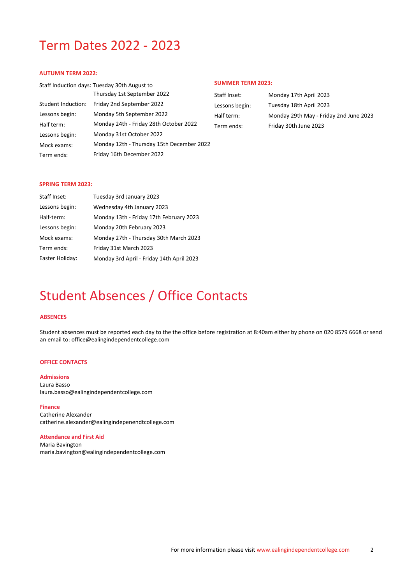# Term Dates 2022 - 2023

### **AUTUMN TERM 2022:**

|                    | Staff Induction days: Tuesday 30th August to |
|--------------------|----------------------------------------------|
|                    | Thursday 1st September 2022                  |
| Student Induction: | Friday 2nd September 2022                    |
| Lessons begin:     | Monday 5th September 2022                    |
| Half term:         | Monday 24th - Friday 28th October 2022       |
| Lessons begin:     | Monday 31st October 2022                     |
| Mock exams:        | Monday 12th - Thursday 15th December 2022    |
| Term ends:         | Friday 16th December 2022                    |
|                    |                                              |

### **SUMMER TERM 2023:**

| Staff Inset:   | Monday 17th April 2023                 |
|----------------|----------------------------------------|
| Lessons begin: | Tuesday 18th April 2023                |
| Half term:     | Monday 29th May - Friday 2nd June 2023 |
| Term ends:     | Friday 30th June 2023                  |

#### **SPRING TERM 2023:**

| Staff Inset:    | Tuesday 3rd January 2023                  |
|-----------------|-------------------------------------------|
| Lessons begin:  | Wednesday 4th January 2023                |
| Half-term:      | Monday 13th - Friday 17th February 2023   |
| Lessons begin:  | Monday 20th February 2023                 |
| Mock exams:     | Monday 27th - Thursday 30th March 2023    |
| Term ends:      | Friday 31st March 2023                    |
| Easter Holiday: | Monday 3rd April - Friday 14th April 2023 |
|                 |                                           |

# Student Absences / Office Contacts

### **ABSENCES**

Student absences must be reported each day to the the office before registration at 8:40am either by phone on 020 8579 6668 or send an email to: office@ealingindependentcollege.com

### **OFFICE CONTACTS**

**Admissions** Laura Basso laura.basso@ealingindependentcollege.com

#### **Finance**

Catherine Alexander catherine.alexander@ealingindepenendtcollege.com

### **Attendance and First Aid**

Maria Bavington maria.bavington@ealingindependentcollege.com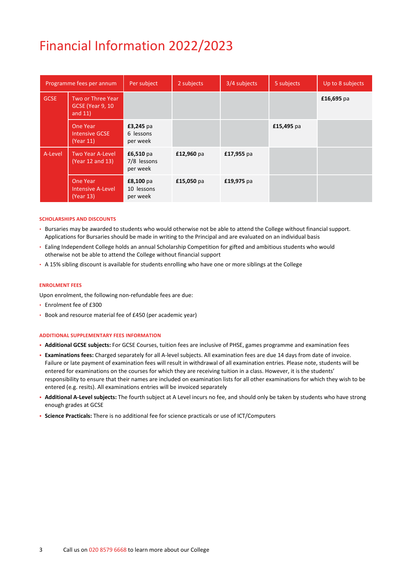# Financial Information 2022/2023

|             | Programme fees per annum                                    | Per subject                          | 2 subjects | 3/4 subjects | 5 subjects | Up to 8 subjects |
|-------------|-------------------------------------------------------------|--------------------------------------|------------|--------------|------------|------------------|
| <b>GCSE</b> | Two or Three Year<br><b>GCSE</b> (Year 9, 10)<br>and $11$ ) |                                      |            |              |            | £16,695 pa       |
|             | One Year<br><b>Intensive GCSE</b><br>(Year 11)              | £3,245 pa<br>6 lessons<br>per week   |            |              | £15,495 pa |                  |
| A-Level     | <b>Two Year A-Level</b><br>(Year 12 and 13)                 | £6,510 pa<br>7/8 lessons<br>per week | £12,960 pa | £17,955 pa   |            |                  |
|             | <b>One Year</b><br><b>Intensive A-Level</b><br>(Year 13)    | £8,100 pa<br>10 lessons<br>per week  | £15,050 pa | £19,975 pa   |            |                  |

#### **SCHOLARSHIPS AND DISCOUNTS**

- Bursaries may be awarded to students who would otherwise not be able to attend the College without financial support. Applications for Bursaries should be made in writing to the Principal and are evaluated on an individual basis
- Ealing Independent College holds an annual Scholarship Competition for gifted and ambitious students who would otherwise not be able to attend the College without financial support
- A 15% sibling discount is available for students enrolling who have one or more siblings at the College

#### **ENROLMENT FEES**

Upon enrolment, the following non-refundable fees are due:

- Enrolment fee of £300
- Book and resource material fee of £450 (per academic year)

#### **ADDITIONAL SUPPLEMENTARY FEES INFORMATION**

- **Additional GCSE subjects:** For GCSE Courses, tuition fees are inclusive of PHSE, games programme and examination fees
- **Examinations fees:** Charged separately for all A-level subjects. All examination fees are due 14 days from date of invoice. Failure or late payment of examination fees will result in withdrawal of all examination entries. Please note, students will be entered for examinations on the courses for which they are receiving tuition in a class. However, it is the students' responsibility to ensure that their names are included on examination lists for all other examinations for which they wish to be entered (e.g. resits). All examinations entries will be invoiced separately
- **Additional A-Level subjects:** The fourth subject at A Level incurs no fee, and should only be taken by students who have strong enough grades at GCSE
- **Science Practicals:** There is no additional fee for science practicals or use of ICT/Computers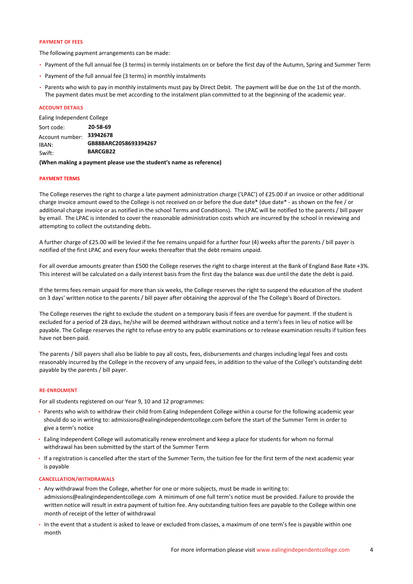### **PAYMENT OF FEES**

The following payment arrangements can be made:

- Payment of the full annual fee (3 terms) in termly instalments on or before the first day of the Autumn, Spring and Summer Term
- Payment of the full annual fee (3 terms) in monthly instalments
- Parents who wish to pay in monthly instalments must pay by Direct Debit. The payment will be due on the 1st of the month. The payment dates must be met according to the instalment plan committed to at the beginning of the academic year.

#### **ACCOUNT DETAILS**

Ealing Independent College

| Sort code:                         | 20-58-69                                             |
|------------------------------------|------------------------------------------------------|
| Account number:<br>IBAN:<br>Swift: | 33942678<br>GB88BARC2058693394267<br><b>BARCGB22</b> |
|                                    |                                                      |

#### **(When making a payment please use the student's name as reference)**

#### **PAYMENT TERMS**

The College reserves the right to charge a late payment administration charge ('LPAC') of £25.00 if an invoice or other additional charge invoice amount owed to the College is not received on or before the due date\* (due date\* - as shown on the fee / or additional charge invoice or as notified in the school Terms and Conditions). The LPAC will be notified to the parents / bill payer by email. The LPAC is intended to cover the reasonable administration costs which are incurred by the school in reviewing and attempting to collect the outstanding debts.

A further charge of £25.00 will be levied if the fee remains unpaid for a further four (4) weeks after the parents / bill payer is notified of the first LPAC and every four weeks thereafter that the debt remains unpaid.

For all overdue amounts greater than £500 the College reserves the right to charge interest at the Bank of England Base Rate +3%. This interest will be calculated on a daily interest basis from the first day the balance was due until the date the debt is paid.

If the terms fees remain unpaid for more than six weeks, the College reserves the right to suspend the education of the student on 3 days' written notice to the parents / bill payer after obtaining the approval of the The College's Board of Directors.

The College reserves the right to exclude the student on a temporary basis if fees are overdue for payment. If the student is excluded for a period of 28 days, he/she will be deemed withdrawn without notice and a term's fees in lieu of notice will be payable. The College reserves the right to refuse entry to any public examinations or to release examination results if tuition fees have not been paid.

The parents / bill payers shall also be liable to pay all costs, fees, disbursements and charges including legal fees and costs reasonably incurred by the College in the recovery of any unpaid fees, in addition to the value of the College's outstanding debt payable by the parents / bill payer.

#### **RE-ENROLMENT**

For all students registered on our Year 9, 10 and 12 programmes:

- Parents who wish to withdraw their child from Ealing Independent College within a course for the following academic year should do so in writing to: admissions@ealingindependentcollege.com before the start of the Summer Term in order to give a term's notice
- Ealing Independent College will automatically renew enrolment and keep a place for students for whom no formal withdrawal has been submitted by the start of the Summer Term
- If a registration is cancelled after the start of the Summer Term, the tuition fee for the first term of the next academic year is payable

#### **CANCELLATION/WITHDRAWALS**

- Any withdrawal from the College, whether for one or more subjects, must be made in writing to: admissions@ealingindependentcollege.com A minimum of one full term's notice must be provided. Failure to provide the written notice will result in extra payment of tuition fee. Any outstanding tuition fees are payable to the College within one month of receipt of the letter of withdrawal
- In the event that a student is asked to leave or excluded from classes, a maximum of one term's fee is payable within one month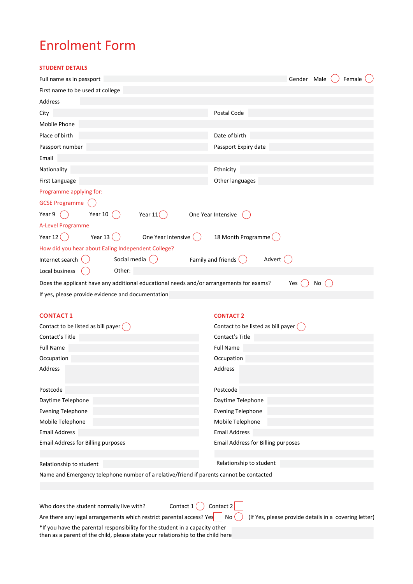# Enrolment Form

**STUDENT DETAILS**

| Full name as in passport                                                                | Female<br>Gender Male          |
|-----------------------------------------------------------------------------------------|--------------------------------|
| First name to be used at college                                                        |                                |
| Address                                                                                 |                                |
| City                                                                                    | Postal Code                    |
| Mobile Phone                                                                            |                                |
| Place of birth                                                                          | Date of birth                  |
| Passport number                                                                         | Passport Expiry date           |
| Email                                                                                   |                                |
| Nationality                                                                             | Ethnicity                      |
| First Language                                                                          | Other languages                |
| Programme applying for:                                                                 |                                |
| <b>GCSE Programme</b>                                                                   |                                |
| Year 9<br>Year 10 $($<br>Year $11($                                                     | One Year Intensive             |
| A-Level Programme                                                                       |                                |
| Year 13 $\binom{1}{2}$<br>Year 12 $\binom{1}{2}$<br>One Year Intensive (                | 18 Month Programme (           |
| How did you hear about Ealing Independent College?                                      |                                |
| Internet search<br>Social media                                                         | Family and friends (<br>Advert |
| Local business<br>Other:                                                                |                                |
| Does the applicant have any additional educational needs and/or arrangements for exams? | Yes<br>No.                     |
|                                                                                         |                                |

If yes, please provide evidence and documentation

### **CONTACT �**

| Contact to be listed as bill payer (                                                    | Contact to be listed as bill payer ( |
|-----------------------------------------------------------------------------------------|--------------------------------------|
| Contact's Title                                                                         | Contact's Title                      |
| <b>Full Name</b>                                                                        | <b>Full Name</b>                     |
| Occupation                                                                              | Occupation                           |
| Address                                                                                 | Address                              |
| Postcode                                                                                | Postcode                             |
| Daytime Telephone                                                                       | Daytime Telephone                    |
| <b>Evening Telephone</b>                                                                | <b>Evening Telephone</b>             |
| Mobile Telephone                                                                        | Mobile Telephone                     |
| <b>Email Address</b>                                                                    | <b>Email Address</b>                 |
| <b>Email Address for Billing purposes</b>                                               | Email Address for Billing purposes   |
|                                                                                         |                                      |
| Relationship to student                                                                 | Relationship to student              |
| Name and Emergency telephone number of a relative/friend if parents cannot be contacted |                                      |

**CONTACT �**

Who does the student normally live with? Contact  $1 \bigcap$  Contact  $2 \bigcap$ 

Are there any legal arrangements which restrict parental access? Yes  $\Box$  No  $(\Box)$  (If Yes, please provide details in a covering letter)

\*If you have the parental responsibility for the student in a capacity other than as a parent of the child, please state your relationship to the child here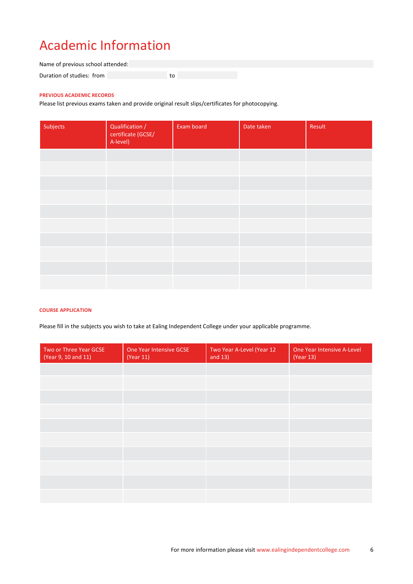# **Academic Information**

Name of previous school attended: to the state of the state of the state of the state of the state of the state of the state of the state of the<br>The state of the state of the state of the state of the state of the state of the state of the state of the st Duration of studies: from

### **PREVIOUS ACADEMIC RECORDS**

Please list previous exams taken and provide original result slips/certificates for photocopying.

| Subjects | Qualification /<br>certificate (GCSE/<br>A-level) | Exam board | Date taken | Result |
|----------|---------------------------------------------------|------------|------------|--------|
|          |                                                   |            |            |        |
|          |                                                   |            |            |        |
|          |                                                   |            |            |        |
|          |                                                   |            |            |        |
|          |                                                   |            |            |        |
|          |                                                   |            |            |        |
|          |                                                   |            |            |        |
|          |                                                   |            |            |        |
|          |                                                   |            |            |        |
|          |                                                   |            |            |        |

### **COURSE APPLICATION**

Please fill in the subjects you wish to take at Ealing Independent College under your applicable programme.

| Two or Three Year GCSE<br>(Year 9, 10 and 11) | One Year Intensive GCSE<br>(Year 11) | Two Year A-Level (Year 12<br>and $13)$ | One Year Intensive A-Level<br>(Year 13) |
|-----------------------------------------------|--------------------------------------|----------------------------------------|-----------------------------------------|
|                                               |                                      |                                        |                                         |
|                                               |                                      |                                        |                                         |
|                                               |                                      |                                        |                                         |
|                                               |                                      |                                        |                                         |
|                                               |                                      |                                        |                                         |
|                                               |                                      |                                        |                                         |
|                                               |                                      |                                        |                                         |
|                                               |                                      |                                        |                                         |
|                                               |                                      |                                        |                                         |
|                                               |                                      |                                        |                                         |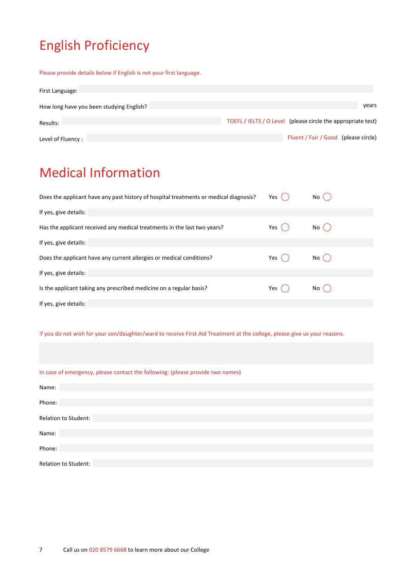# English Proficiency

Please provide details below if English is not your first language.

| First Language:                          |                                                              |
|------------------------------------------|--------------------------------------------------------------|
| How long have you been studying English? | years                                                        |
| Results:                                 | TOEFL / IELTS / O Level (please circle the appropriate test) |
| Level of Fluency:                        | Fluent / Fair / Good (please circle)                         |

# Medical Information

| Does the applicant have any past history of hospital treatments or medical diagnosis? | Yes   | No ( |
|---------------------------------------------------------------------------------------|-------|------|
| If yes, give details:                                                                 |       |      |
| Has the applicant received any medical treatments in the last two years?              | Yes ( | No ( |
| If yes, give details:                                                                 |       |      |
| Does the applicant have any current allergies or medical conditions?                  | Yes ( | No ( |
| If yes, give details:                                                                 |       |      |
| Is the applicant taking any prescribed medicine on a regular basis?                   | Yes   | No ( |
| If yes, give details:                                                                 |       |      |

### If you do not wish for your son/daughter/ward to receive First Aid Treatment at the college, please give us your reasons.

| In case of emergency, please contact the following: (please provide two names) |  |  |  |
|--------------------------------------------------------------------------------|--|--|--|
|--------------------------------------------------------------------------------|--|--|--|

| Name:                |
|----------------------|
| Phone:               |
|                      |
| Relation to Student: |
| Name:                |
| Phone:               |
|                      |
| Relation to Student: |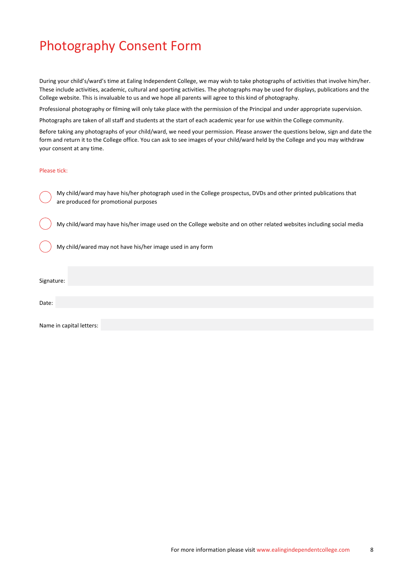# Photography Consent Form

During your child's/ward's time at Ealing Independent College, we may wish to take photographs of activities that involve him/her. These include activities, academic, cultural and sporting activities. The photographs may be used for displays, publications and the College website. This is invaluable to us and we hope all parents will agree to this kind of photography.

Professional photography or filming will only take place with the permission of the Principal and under appropriate supervision.

Photographs are taken of all staff and students at the start of each academic year for use within the College community.

Before taking any photographs of your child/ward, we need your permission. Please answer the questions below, sign and date the form and return it to the College office. You can ask to see images of your child/ward held by the College and you may withdraw your consent at any time.

#### Please tick:

My child/ward may have his/her photograph used in the College prospectus, DVDs and other printed publications that are produced for promotional purposes

My child/ward may have his/her image used on the College website and on other related websites including social media

My child/wared may not have his/her image used in any form

Signature:

Date:

Name in capital letters: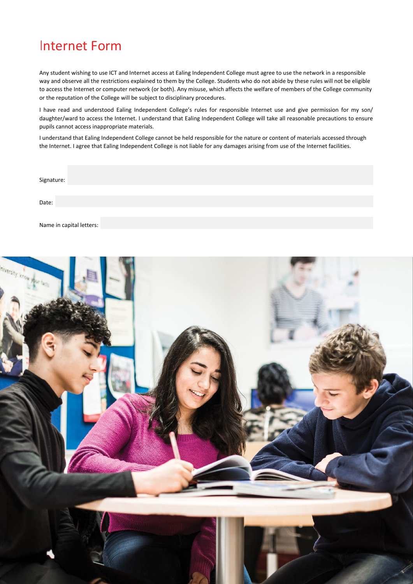## Internet Form

Any student wishing to use ICT and Internet access at Ealing Independent College must agree to use the network in a responsible way and observe all the restrictions explained to them by the College. Students who do not abide by these rules will not be eligible to access the Internet or computer network (or both). Any misuse, which affects the welfare of members of the College community or the reputation of the College will be subject to disciplinary procedures.

I have read and understood Ealing Independent College's rules for responsible Internet use and give permission for my son/ daughter/ward to access the Internet. I understand that Ealing Independent College will take all reasonable precautions to ensure pupils cannot access inappropriate materials.

I understand that Ealing Independent College cannot be held responsible for the nature or content of materials accessed through the Internet. I agree that Ealing Independent College is not liable for any damages arising from use of the Internet facilities.

| Signature:               |  |  |  |
|--------------------------|--|--|--|
| Date:                    |  |  |  |
| Name in capital letters: |  |  |  |

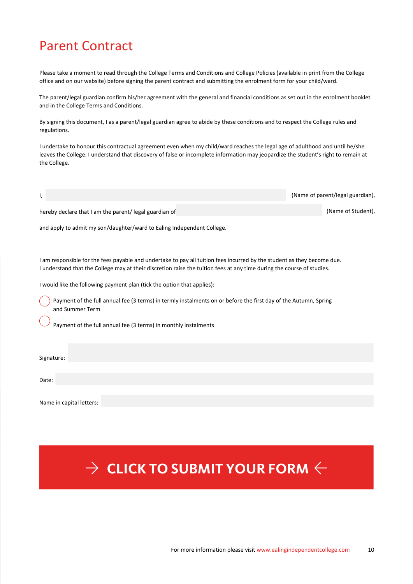# Parent Contract

Please take a moment to read through the College Terms and Conditions and College Policies (available in print from the College office and on our website) before signing the parent contract and submitting the enrolment form for your child/ward.

The parent/legal guardian confirm his/her agreement with the general and financial conditions as set out in the enrolment booklet and in the College Terms and Conditions.

By signing this document, I as a parent/legal guardian agree to abide by these conditions and to respect the College rules and regulations.

I undertake to honour this contractual agreement even when my child/ward reaches the legal age of adulthood and until he/she leaves the College. I understand that discovery of false or incomplete information may jeopardize the student's right to remain at the College.

(Name of parent/legal guardian),

(Name of Student),

hereby declare that I am the parent/ legal guardian of

and apply to admit my son/daughter/ward to Ealing Independent College.

I am responsible for the fees payable and undertake to pay all tuition fees incurred by the student as they become due. I understand that the College may at their discretion raise the tuition fees at any time during the course of studies.

I would like the following payment plan (tick the option that applies):

Payment of the full annual fee (3 terms) in termly instalments on or before the first day of the Autumn, Spring and Summer Term

Payment of the full annual fee (3 terms) in monthly instalments

Signature:

Date:

I,

Name in capital letters:

# $\alpha\rightarrow\alpha$  CLICK TO SUBMIT YOUR FORM  $\leftarrow$